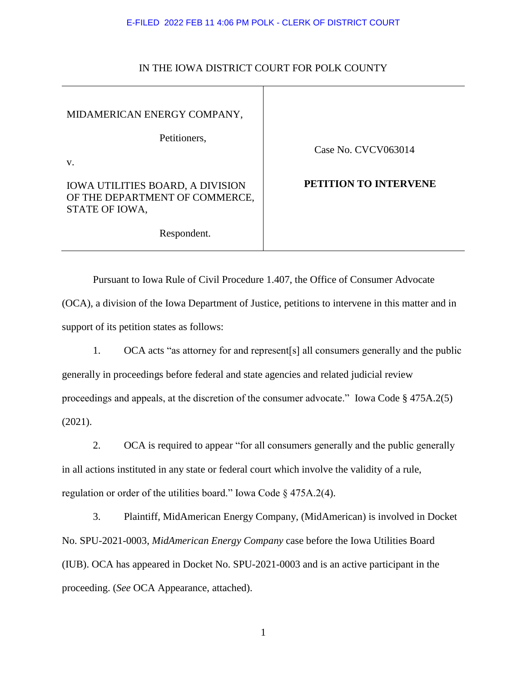## E-FILED 2022 FEB 11 4:06 PM POLK - CLERK OF DISTRICT COURT

| MIDAMERICAN ENERGY COMPANY,                                                                 |                       |
|---------------------------------------------------------------------------------------------|-----------------------|
| Petitioners,<br>V.                                                                          | Case No. CVCV063014   |
| <b>IOWA UTILITIES BOARD, A DIVISION</b><br>OF THE DEPARTMENT OF COMMERCE,<br>STATE OF IOWA, | PETITION TO INTERVENE |
| Respondent.                                                                                 |                       |

## IN THE IOWA DISTRICT COURT FOR POLK COUNTY

Pursuant to Iowa Rule of Civil Procedure 1.407, the Office of Consumer Advocate (OCA), a division of the Iowa Department of Justice, petitions to intervene in this matter and in support of its petition states as follows:

1. OCA acts "as attorney for and represent[s] all consumers generally and the public generally in proceedings before federal and state agencies and related judicial review proceedings and appeals, at the discretion of the consumer advocate." Iowa Code § 475A.2(5) (2021).

2. OCA is required to appear "for all consumers generally and the public generally in all actions instituted in any state or federal court which involve the validity of a rule, regulation or order of the utilities board." Iowa Code § 475A.2(4).

3. Plaintiff, MidAmerican Energy Company, (MidAmerican) is involved in Docket No. SPU-2021-0003, *MidAmerican Energy Company* case before the Iowa Utilities Board (IUB). OCA has appeared in Docket No. SPU-2021-0003 and is an active participant in the proceeding. (*See* OCA Appearance, attached).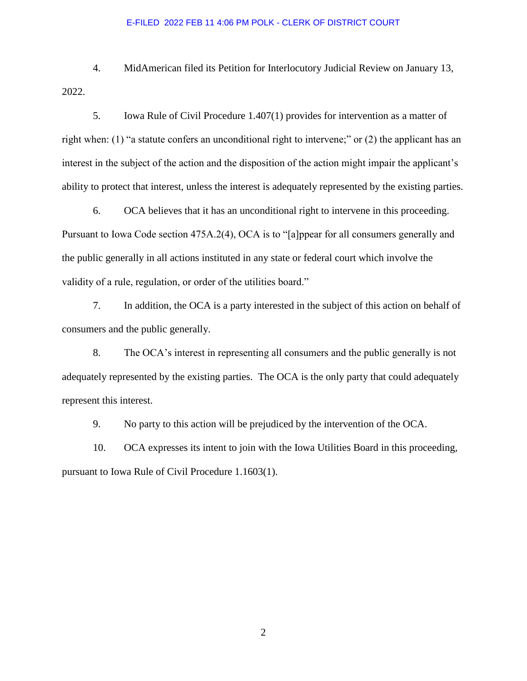#### E-FILED 2022 FEB 11 4:06 PM POLK - CLERK OF DISTRICT COURT

4. MidAmerican filed its Petition for Interlocutory Judicial Review on January 13, 2022.

5. Iowa Rule of Civil Procedure 1.407(1) provides for intervention as a matter of right when: (1) "a statute confers an unconditional right to intervene;" or (2) the applicant has an interest in the subject of the action and the disposition of the action might impair the applicant's ability to protect that interest, unless the interest is adequately represented by the existing parties.

6. OCA believes that it has an unconditional right to intervene in this proceeding. Pursuant to Iowa Code section 475A.2(4), OCA is to "[a]ppear for all consumers generally and the public generally in all actions instituted in any state or federal court which involve the validity of a rule, regulation, or order of the utilities board."

7. In addition, the OCA is a party interested in the subject of this action on behalf of consumers and the public generally.

8. The OCA's interest in representing all consumers and the public generally is not adequately represented by the existing parties. The OCA is the only party that could adequately represent this interest.

9. No party to this action will be prejudiced by the intervention of the OCA.

10. OCA expresses its intent to join with the Iowa Utilities Board in this proceeding, pursuant to Iowa Rule of Civil Procedure 1.1603(1).

2